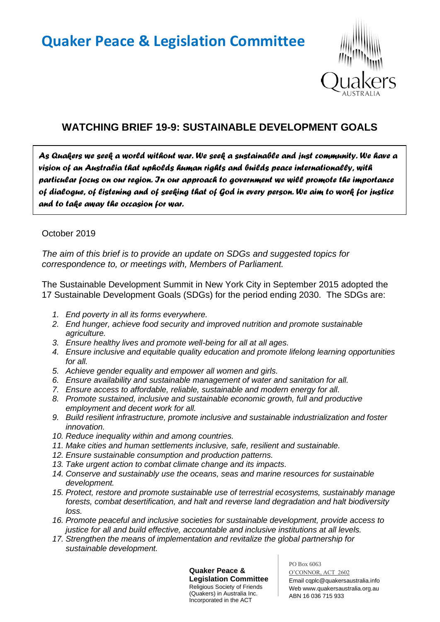# **Quaker Peace & Legislation Committee**



# **WATCHING BRIEF 19-9: SUSTAINABLE DEVELOPMENT GOALS**

*As Quakers we seek a world without war. We seek a sustainable and just community. We have a vision of an Australia that upholds human rights and builds peace internationally, with particular focus on our region. In our approach to government we will promote the importance of dialogue, of listening and of seeking that of God in every person. We aim to work for justice and to take away the occasion for war.* 

#### October 2019

*The aim of this brief is to provide an update on SDGs and suggested topics for correspondence to, or meetings with, Members of Parliament.*

The Sustainable Development Summit in New York City in September 2015 adopted the 17 Sustainable Development Goals (SDGs) for the period ending 2030. The SDGs are:

- *1. End poverty in all its forms everywhere.*
- *2. End hunger, achieve food security and improved nutrition and promote sustainable agriculture.*
- *3. Ensure healthy lives and promote well-being for all at all ages.*
- *4. Ensure inclusive and equitable quality education and promote lifelong learning opportunities for all.*
- *5. Achieve gender equality and empower all women and girls.*
- *6. Ensure availability and sustainable management of water and sanitation for all.*
- *7. Ensure access to affordable, reliable, sustainable and modern energy for all.*
- *8. Promote sustained, inclusive and sustainable economic growth, full and productive employment and decent work for all.*
- *9. Build resilient infrastructure, promote inclusive and sustainable industrialization and foster innovation.*
- *10. Reduce inequality within and among countries.*
- *11. Make cities and human settlements inclusive, safe, resilient and sustainable.*
- *12. Ensure sustainable consumption and production patterns.*
- *13. Take urgent action to combat climate change and its impacts.*
- *14. Conserve and sustainably use the oceans, seas and marine resources for sustainable development.*
- *15. Protect, restore and promote sustainable use of terrestrial ecosystems, sustainably manage forests, combat desertification, and halt and reverse land degradation and halt biodiversity loss.*
- *16. Promote peaceful and inclusive societies for sustainable development, provide access to justice for all and build effective, accountable and inclusive institutions at all levels.*
- *17. Strengthen the means of implementation and revitalize the global partnership for sustainable development.*

**Quaker Peace & Legislation Committee** Religious Society of Friends (Quakers) in Australia Inc. Incorporated in the ACT

PO Box 6063

O'CONNOR, ACT 2602 Email cqplc@quakersaustralia.info Web www.quakersaustralia.org.au ABN 16 036 715 933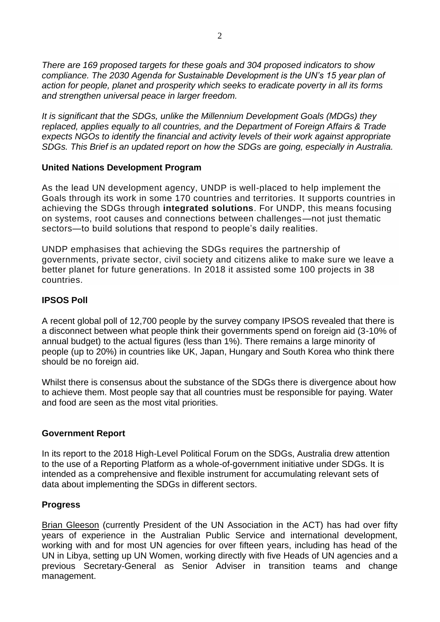*There are 169 proposed targets for these goals and 304 proposed indicators to show compliance. The 2030 Agenda for Sustainable Development is the UN's 15 year plan of action for people, planet and prosperity which seeks to eradicate poverty in all its forms and strengthen universal peace in larger freedom.*

*It is significant that the SDGs, unlike the Millennium Development Goals (MDGs) they replaced, applies equally to all countries, and the Department of Foreign Affairs & Trade expects NGOs to identify the financial and activity levels of their work against appropriate SDGs. This Brief is an updated report on how the SDGs are going, especially in Australia.*

#### **United Nations Development Program**

As the lead UN development agency, UNDP is well-placed to help implement the Goals through its work in some 170 countries and territories. It supports countries in achieving the SDGs through **integrated solutions**. For UNDP, this means focusing on systems, root causes and connections between challenges—not just thematic sectors—to build solutions that respond to people's daily realities.

UNDP emphasises that achieving the SDGs requires the partnership of governments, private sector, civil society and citizens alike to make sure we leave a better planet for future generations. In 2018 it assisted some 100 projects in 38 countries.

# **IPSOS Poll**

A recent global poll of 12,700 people by the survey company IPSOS revealed that there is a disconnect between what people think their governments spend on foreign aid (3-10% of annual budget) to the actual figures (less than 1%). There remains a large minority of people (up to 20%) in countries like UK, Japan, Hungary and South Korea who think there should be no foreign aid.

Whilst there is consensus about the substance of the SDGs there is divergence about how to achieve them. Most people say that all countries must be responsible for paying. Water and food are seen as the most vital priorities.

# **Government Report**

In its report to the 2018 High-Level Political Forum on the SDGs, Australia drew attention to the use of a Reporting Platform as a whole-of-government initiative under SDGs. It is intended as a comprehensive and flexible instrument for accumulating relevant sets of data about implementing the SDGs in different sectors.

#### **Progress**

Brian Gleeson (currently President of the UN Association in the ACT) has had over fifty years of experience in the Australian Public Service and international development, working with and for most UN agencies for over fifteen years, including has head of the UN in Libya, setting up UN Women, working directly with five Heads of UN agencies and a previous Secretary-General as Senior Adviser in transition teams and change management.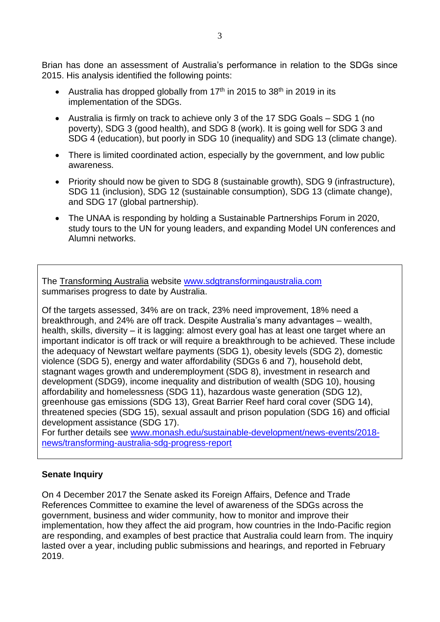Brian has done an assessment of Australia's performance in relation to the SDGs since 2015. His analysis identified the following points:

- Australia has dropped globally from  $17<sup>th</sup>$  in 2015 to 38<sup>th</sup> in 2019 in its implementation of the SDGs.
- Australia is firmly on track to achieve only 3 of the 17 SDG Goals SDG 1 (no poverty), SDG 3 (good health), and SDG 8 (work). It is going well for SDG 3 and SDG 4 (education), but poorly in SDG 10 (inequality) and SDG 13 (climate change).
- There is limited coordinated action, especially by the government, and low public awareness.
- Priority should now be given to SDG 8 (sustainable growth), SDG 9 (infrastructure), SDG 11 (inclusion), SDG 12 (sustainable consumption), SDG 13 (climate change), and SDG 17 (global partnership).
- The UNAA is responding by holding a Sustainable Partnerships Forum in 2020, study tours to the UN for young leaders, and expanding Model UN conferences and Alumni networks.

The Transforming Australia website [www.sdgtransformingaustralia.com](http://www.sdgtransformingaustralia.com/) summarises progress to date by Australia.

Of the targets assessed, 34% are on track, 23% need improvement, 18% need a breakthrough, and 24% are off track. Despite Australia's many advantages – wealth, health, skills, diversity – it is lagging: almost every goal has at least one target where an important indicator is off track or will require a breakthrough to be achieved. These include the adequacy of Newstart welfare payments (SDG 1), obesity levels (SDG 2), domestic violence (SDG 5), energy and water affordability (SDGs 6 and 7), household debt, stagnant wages growth and underemployment (SDG 8), investment in research and development (SDG9), income inequality and distribution of wealth (SDG 10), housing affordability and homelessness (SDG 11), hazardous waste generation (SDG 12), greenhouse gas emissions (SDG 13), Great Barrier Reef hard coral cover (SDG 14), threatened species (SDG 15), sexual assault and prison population (SDG 16) and official development assistance (SDG 17).

For further details see [www.monash.edu/sustainable-development/news-events/2018](http://www.monash.edu/sustainable-development/news-events/2018-news/transforming-australia-sdg-progress-report) [news/transforming-australia-sdg-progress-report](http://www.monash.edu/sustainable-development/news-events/2018-news/transforming-australia-sdg-progress-report)

# **Senate Inquiry**

On 4 December 2017 the Senate asked its Foreign Affairs, Defence and Trade References Committee to examine the level of awareness of the SDGs across the government, business and wider community, how to monitor and improve their implementation, how they affect the aid program, how countries in the Indo-Pacific region are responding, and examples of best practice that Australia could learn from. The inquiry lasted over a year, including public submissions and hearings, and reported in February 2019.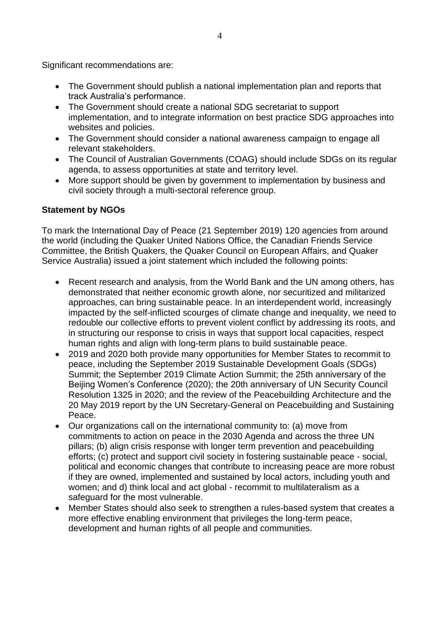Significant recommendations are:

- The Government should publish a national implementation plan and reports that track Australia's performance.
- The Government should create a national SDG secretariat to support implementation, and to integrate information on best practice SDG approaches into websites and policies.
- The Government should consider a national awareness campaign to engage all relevant stakeholders.
- The Council of Australian Governments (COAG) should include SDGs on its regular agenda, to assess opportunities at state and territory level.
- More support should be given by government to implementation by business and civil society through a multi-sectoral reference group.

#### **Statement by NGOs**

To mark the International Day of Peace (21 September 2019) 120 agencies from around the world (including the Quaker United Nations Office, the Canadian Friends Service Committee, the British Quakers, the Quaker Council on European Affairs, and Quaker Service Australia) issued a joint statement which included the following points:

- Recent research and analysis, from the World Bank and the UN among others, has demonstrated that neither economic growth alone, nor securitized and militarized approaches, can bring sustainable peace. In an interdependent world, increasingly impacted by the self-inflicted scourges of climate change and inequality, we need to redouble our collective efforts to prevent violent conflict by addressing its roots, and in structuring our response to crisis in ways that support local capacities, respect human rights and align with long-term plans to build sustainable peace.
- 2019 and 2020 both provide many opportunities for Member States to recommit to peace, including the September 2019 Sustainable Development Goals (SDGs) Summit; the September 2019 Climate Action Summit; the 25th anniversary of the Beijing Women's Conference (2020); the 20th anniversary of UN Security Council Resolution 1325 in 2020; and the review of the Peacebuilding Architecture and the 20 May 2019 report by the UN Secretary-General on Peacebuilding and Sustaining Peace.
- Our organizations call on the international community to: (a) move from commitments to action on peace in the 2030 Agenda and across the three UN pillars; (b) align crisis response with longer term prevention and peacebuilding efforts; (c) protect and support civil society in fostering sustainable peace - social, political and economic changes that contribute to increasing peace are more robust if they are owned, implemented and sustained by local actors, including youth and women; and d) think local and act global - recommit to multilateralism as a safeguard for the most vulnerable.
- Member States should also seek to strengthen a rules-based system that creates a more effective enabling environment that privileges the long-term peace, development and human rights of all people and communities.